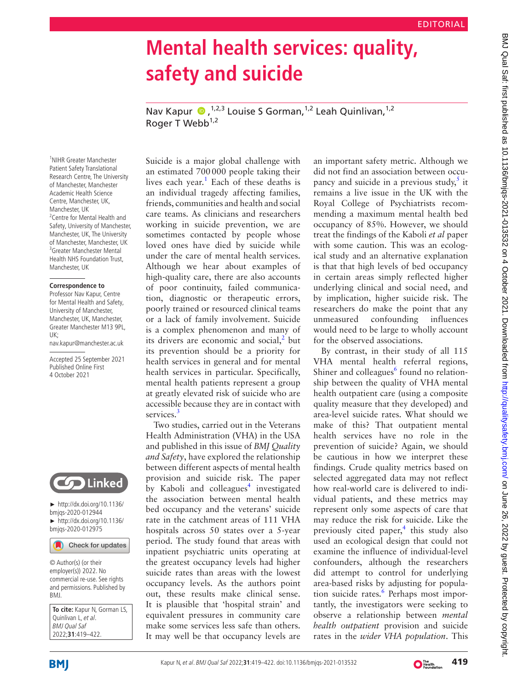## **Mental health services: quality, safety and suicide** Nav Kapur  $\bigcirc$ , <sup>1,2,3</sup> Louise S Gorman, <sup>1,2</sup> Leah Quinlivan, <sup>1,2</sup> Roger T Webb $1,2$ Suicide is a major global challenge with an estimated 700000 people taking their lives each year.<sup>[1](#page-2-0)</sup> Each of these deaths is an individual tragedy affecting families, friends, communities and health and social care teams. As clinicians and researchers working in suicide prevention, we are

sometimes contacted by people whose loved ones have died by suicide while under the care of mental health services. Although we hear about examples of high-quality care, there are also accounts of poor continuity, failed communication, diagnostic or therapeutic errors, poorly trained or resourced clinical teams or a lack of family involvement. Suicide is a complex phenomenon and many of its drivers are economic and social, $^2$  $^2$  but its prevention should be a priority for health services in general and for mental health services in particular. Specifically, mental health patients represent a group at greatly elevated risk of suicide who are accessible because they are in contact with services.<sup>3</sup>

Two studies, carried out in the Veterans Health Administration (VHA) in the USA and published in this issue of *BMJ Quality and Safety*, have explored the relationship between different aspects of mental health provision and suicide risk. The paper by Kaboli and colleagues<sup>[4](#page-2-3)</sup> investigated the association between mental health bed occupancy and the veterans' suicide rate in the catchment areas of 111 VHA hospitals across 50 states over a 5-year period. The study found that areas with inpatient psychiatric units operating at the greatest occupancy levels had higher suicide rates than areas with the lowest occupancy levels. As the authors point out, these results make clinical sense. It is plausible that 'hospital strain' and equivalent pressures in community care make some services less safe than others. It may well be that occupancy levels are

an important safety metric. Although we did not find an association between occupancy and suicide in a previous study, $5$  it remains a live issue in the UK with the Royal College of Psychiatrists recommending a maximum mental health bed occupancy of 85%. However, we should treat the findings of the Kaboli *et al* paper with some caution. This was an ecological study and an alternative explanation is that that high levels of bed occupancy in certain areas simply reflected higher underlying clinical and social need, and by implication, higher suicide risk. The researchers do make the point that any unmeasured confounding influences would need to be large to wholly account for the observed associations.

By contrast, in their study of all 115 VHA mental health referral regions, Shiner and colleagues<sup>6</sup> found no relationship between the quality of VHA mental health outpatient care (using a composite quality measure that they developed) and area-level suicide rates. What should we make of this? That outpatient mental health services have no role in the prevention of suicide? Again, we should be cautious in how we interpret these findings. Crude quality metrics based on selected aggregated data may not reflect how real-world care is delivered to individual patients, and these metrics may represent only some aspects of care that may reduce the risk for suicide. Like the previously cited paper, $4$  this study also used an ecological design that could not examine the influence of individual-level confounders, although the researchers did attempt to control for underlying area-based risks by adjusting for popula-tion suicide rates.<sup>[6](#page-2-5)</sup> Perhaps most importantly, the investigators were seeking to observe a relationship between *mental health outpatient* provision and suicide rates in the *wider VHA population*. This

**BMJ** 

BMJ.

**To cite:** Kapur N, Gorman LS,

► [http://dx.doi.org/10.1136/](http://dx.doi.org/10.1136/bmjqs-2020-012944) [bmjqs-2020-012944](http://dx.doi.org/10.1136/bmjqs-2020-012944) ► [http://dx.doi.org/10.1136/](http://dx.doi.org/10.1136/bmjqs-2020-012975) [bmjqs-2020-012975](http://dx.doi.org/10.1136/bmjqs-2020-012975)

Check for updates

**Solution** Linked

Quinlivan L, et al. BMJ Qual Saf 2022;**31**:419–422.

© Author(s) (or their employer(s)) 2022. No commercial re-use. See rights and permissions. Published by

1 NIHR Greater Manchester Patient Safety Translational Research Centre, The University of Manchester, Manchester Academic Health Science Centre, Manchester, UK, Manchester, UK

<sup>2</sup> Centre for Mental Health and Safety, University of Manchester, Manchester, UK, The University of Manchester, Manchester, UK 3 Greater Manchester Mental Health NHS Foundation Trust,

Manchester, UK

UK;

**Correspondence to** Professor Nav Kapur, Centre for Mental Health and Safety, University of Manchester, Manchester, UK, Manchester, Greater Manchester M13 9PL,

nav.kapur@manchester.ac.uk Accepted 25 September 2021 Published Online First 4 October 2021

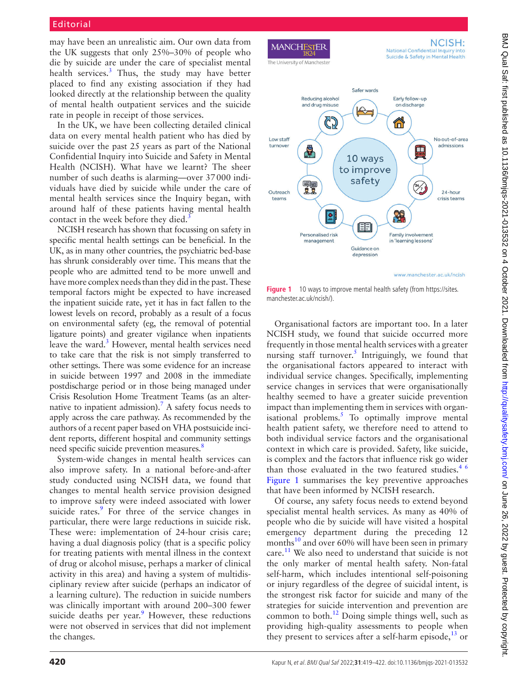may have been an unrealistic aim. Our own data from the UK suggests that only 25%–30% of people who die by suicide are under the care of specialist mental health services.<sup>[3](#page-2-2)</sup> Thus, the study may have better placed to find any existing association if they had looked directly at the relationship between the quality of mental health outpatient services and the suicide rate in people in receipt of those services.

In the UK, we have been collecting detailed clinical data on every mental health patient who has died by suicide over the past 25 years as part of the National Confidential Inquiry into Suicide and Safety in Mental Health (NCISH). What have we learnt? The sheer number of such deaths is alarming—over 37000 individuals have died by suicide while under the care of mental health services since the Inquiry began, with around half of these patients having mental health contact in the week before they died.<sup>[3](#page-2-2)</sup>

NCISH research has shown that focussing on safety in specific mental health settings can be beneficial. In the UK, as in many other countries, the psychiatric bed-base has shrunk considerably over time. This means that the people who are admitted tend to be more unwell and have more complex needs than they did in the past. These temporal factors might be expected to have increased the inpatient suicide rate, yet it has in fact fallen to the lowest levels on record, probably as a result of a focus on environmental safety (eg, the removal of potential ligature points) and greater vigilance when inpatients leave the ward.<sup>[3](#page-2-2)</sup> However, mental health services need to take care that the risk is not simply transferred to other settings. There was some evidence for an increase in suicide between 1997 and 2008 in the immediate postdischarge period or in those being managed under Crisis Resolution Home Treatment Teams (as an alternative to inpatient admission).<sup>7</sup> A safety focus needs to apply across the care pathway. As recommended by the authors of a recent paper based on VHA postsuicide incident reports, different hospital and community settings need specific suicide prevention measures.<sup>8</sup>

System-wide changes in mental health services can also improve safety. In a national before-and-after study conducted using NCISH data, we found that changes to mental health service provision designed to improve safety were indeed associated with lower suicide rates.<sup>9</sup> For three of the service changes in particular, there were large reductions in suicide risk. These were: implementation of 24-hour crisis care; having a dual diagnosis policy (that is a specific policy for treating patients with mental illness in the context of drug or alcohol misuse, perhaps a marker of clinical activity in this area) and having a system of multidisciplinary review after suicide (perhaps an indicator of a learning culture). The reduction in suicide numbers was clinically important with around 200–300 fewer suicide deaths per year. $9$  However, these reductions were not observed in services that did not implement the changes.



<span id="page-1-0"></span>Figure 1 10 ways to improve mental health safety (from [https://sites.](https://sites.manchester.ac.uk/ncish/) [manchester.ac.uk/ncish/](https://sites.manchester.ac.uk/ncish/)).

Organisational factors are important too. In a later NCISH study, we found that suicide occurred more frequently in those mental health services with a greater nursing staff turnover.<sup>[5](#page-2-4)</sup> Intriguingly, we found that the organisational factors appeared to interact with individual service changes. Specifically, implementing service changes in services that were organisationally healthy seemed to have a greater suicide prevention impact than implementing them in services with organ-isational problems.<sup>[5](#page-2-4)</sup> To optimally improve mental health patient safety, we therefore need to attend to both individual service factors and the organisational context in which care is provided. Safety, like suicide, is complex and the factors that influence risk go wider than those evaluated in the two featured studies. $46$ [Figure](#page-1-0) 1 summarises the key preventive approaches that have been informed by NCISH research.

Of course, any safety focus needs to extend beyond specialist mental health services. As many as 40% of people who die by suicide will have visited a hospital emergency department during the preceding 12 months $^{10}$  and over 60% will have been seen in primary care.<sup>11</sup> We also need to understand that suicide is not the only marker of mental health safety. Non-fatal self-harm, which includes intentional self-poisoning or injury regardless of the degree of suicidal intent, is the strongest risk factor for suicide and many of the strategies for suicide intervention and prevention are common to both. $^{12}$  Doing simple things well, such as providing high-quality assessments to people when they present to services after a self-harm episode, $^{13}$  or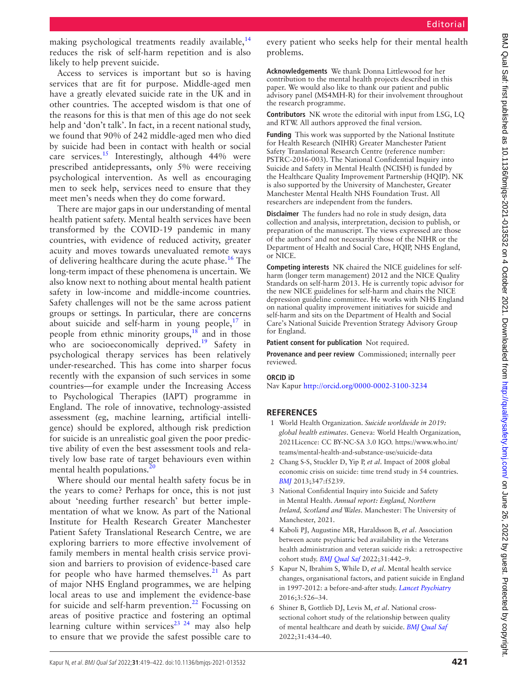making psychological treatments readily available, $^{14}$ reduces the risk of self-harm repetition and is also likely to help prevent suicide.

Access to services is important but so is having services that are fit for purpose. Middle-aged men have a greatly elevated suicide rate in the UK and in other countries. The accepted wisdom is that one of the reasons for this is that men of this age do not seek help and 'don't talk'. In fact, in a recent national study, we found that 90% of 242 middle-aged men who died by suicide had been in contact with health or social care services.<sup>15</sup> Interestingly, although 44% were prescribed antidepressants, only 5% were receiving psychological intervention. As well as encouraging men to seek help, services need to ensure that they meet men's needs when they do come forward.

There are major gaps in our understanding of mental health patient safety. Mental health services have been transformed by the COVID-19 pandemic in many countries, with evidence of reduced activity, greater acuity and moves towards unevaluated remote ways of delivering healthcare during the acute phase.<sup>16</sup> The long-term impact of these phenomena is uncertain. We also know next to nothing about mental health patient safety in low-income and middle-income countries. Safety challenges will not be the same across patient groups or settings. In particular, there are concerns about suicide and self-harm in young people, $17$  in people from ethnic minority groups, $18$  and in those who are socioeconomically deprived.<sup>19</sup> Safety in psychological therapy services has been relatively under-researched. This has come into sharper focus recently with the expansion of such services in some countries—for example under the Increasing Access to Psychological Therapies (IAPT) programme in England. The role of innovative, technology-assisted assessment (eg, machine learning, artificial intelligence) should be explored, although risk prediction for suicide is an unrealistic goal given the poor predictive ability of even the best assessment tools and relatively low base rate of target behaviours even within mental health populations. $^{20}$  $^{20}$  $^{20}$ 

Where should our mental health safety focus be in the years to come? Perhaps for once, this is not just about 'needing further research' but better implementation of what we know. As part of the National Institute for Health Research Greater Manchester Patient Safety Translational Research Centre, we are exploring barriers to more effective involvement of family members in mental health crisis service provision and barriers to provision of evidence-based care for people who have harmed themselves. $21$  As part of major NHS England programmes, we are helping local areas to use and implement the evidence-base for suicide and self-harm prevention.<sup>[22](#page-3-15)</sup> Focussing on areas of positive practice and fostering an optimal learning culture within services<sup>23</sup> <sup>24</sup> may also help to ensure that we provide the safest possible care to

every patient who seeks help for their mental health problems.

**Acknowledgements** We thank Donna Littlewood for her contribution to the mental health projects described in this paper. We would also like to thank our patient and public advisory panel (MS4MH-R) for their involvement throughout the research programme.

**Contributors** NK wrote the editorial with input from LSG, LQ and RTW. All authors approved the final version.

**Funding** This work was supported by the National Institute for Health Research (NIHR) Greater Manchester Patient Safety Translational Research Centre (reference number: PSTRC-2016-003). The National Confidential Inquiry into Suicide and Safety in Mental Health (NCISH) is funded by the Healthcare Quality Improvement Partnership (HQIP). NK is also supported by the University of Manchester, Greater Manchester Mental Health NHS Foundation Trust. All researchers are independent from the funders.

**Disclaimer** The funders had no role in study design, data collection and analysis, interpretation, decision to publish, or preparation of the manuscript. The views expressed are those of the authors' and not necessarily those of the NIHR or the Department of Health and Social Care, HQIP, NHS England, or NICE.

**Competing interests** NK chaired the NICE guidelines for selfharm (longer term management) 2012 and the NICE Quality Standards on self-harm 2013. He is currently topic advisor for the new NICE guidelines for self-harm and chairs the NICE depression guideline committee. He works with NHS England on national quality improvement initiatives for suicide and self-harm and sits on the Department of Health and Social Care's National Suicide Prevention Strategy Advisory Group for England.

**Patient consent for publication** Not required.

**Provenance and peer review** Commissioned; internally peer reviewed.

**ORCID iD** Nav Kapur<http://orcid.org/0000-0002-3100-3234>

## **REFERENCES**

- <span id="page-2-0"></span>1 World Health Organization. *Suicide worldwide in 2019: global health estimates*. Geneva: World Health Organization, 2021Licence: CC BY-NC-SA 3.0 IGO. [https://www.who.int/](https://www.who.int/teams/mental-health-and-substance-use/suicide-data) [teams/mental-health-and-substance-use/suicide-data](https://www.who.int/teams/mental-health-and-substance-use/suicide-data)
- <span id="page-2-1"></span>2 Chang S-S, Stuckler D, Yip P, *et al*. Impact of 2008 global economic crisis on suicide: time trend study in 54 countries. *[BMJ](http://dx.doi.org/10.1136/bmj.f5239)* 2013;347:f5239.
- <span id="page-2-2"></span>3 National Confidential Inquiry into Suicide and Safety in Mental Health. *Annual report: England, Northern Ireland, Scotland and Wales*. Manchester: The University of Manchester, 2021.
- <span id="page-2-3"></span>4 Kaboli PJ, Augustine MR, Haraldsson B, *et al*. Association between acute psychiatric bed availability in the Veterans health administration and veteran suicide risk: a retrospective cohort study. *[BMJ Qual Saf](http://dx.doi.org/10.1136/bmjqs-2020-012975)* 2022;31:442–9.
- <span id="page-2-4"></span>5 Kapur N, Ibrahim S, While D, *et al*. Mental health service changes, organisational factors, and patient suicide in England in 1997-2012: a before-and-after study. *[Lancet Psychiatry](http://dx.doi.org/10.1016/S2215-0366(16)00063-8)* 2016;3:526–34.
- <span id="page-2-5"></span>6 Shiner B, Gottlieb DJ, Levis M, *et al*. National crosssectional cohort study of the relationship between quality of mental healthcare and death by suicide. *[BMJ Qual Saf](http://dx.doi.org/10.1136/bmjqs-2020-012944)* 2022;31:434–40.